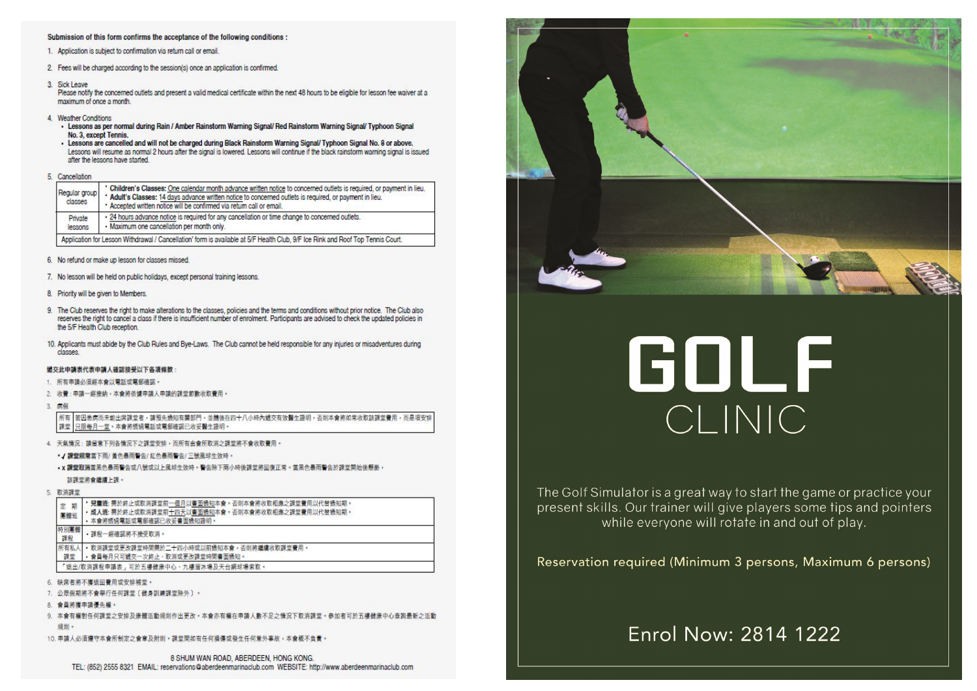### Submission of this form confirms the acceptance of the following conditions :

- 1. Application is subject to confirmation via return call or email.
- 2. Fees will be charged according to the session(s) once an application is confirmed.
- 3. Sick Leave

Please notify the concerned outlets and present a valid medical certificate within the next 48 hours to be eligible for lesson fee waiver at a maximum of once a month.

- 4 Weather Conditions
	- Lessons as per normal during Rain / Amber Rainstorm Warning Signal/ Red Rainstorm Warning Signal/ Typhoon Signal No. 3, except Tennis.

- Lessons are cancelled and will not be charged during Black Rainstorm Warning Signal/ Typhoon Signal No. 8 or above. Lessons will resume as normal 2 hours after the signal is lowered. Lessons will continue if the black rainstorm warning signal is issued after the lessons have started

### 5. Cancellation

| Regular group<br>classes | * Children's Classes: One calendar month advance written notice to concerned outlets is required, or payment in lieu.<br>* Adult's Classes: 14 days advance written notice to concerned outlets is required, or payment in lieu.<br>* Accepted written notice will be confirmed via return call or email. |
|--------------------------|-----------------------------------------------------------------------------------------------------------------------------------------------------------------------------------------------------------------------------------------------------------------------------------------------------------|
| Private<br>lessons       | - 24 hours advance notice is required for any cancellation or time change to concerned outlets.<br>· Maximum one cancellation per month only.                                                                                                                                                             |
|                          | Application for Lesson Withdrawal / Cancellation' form is available at 5/F Health Club, 9/F Ice Rink and Roof Top Tennis Court.                                                                                                                                                                           |

- 6. No refund or make up lesson for classes missed.
- 7. No lesson will be held on public holidays, except personal training lessons.
- 8. Priority will be given to Members.
- 9. The Club reserves the right to make alterations to the classes, policies and the terms and conditions without prior notice. The Club also reserves the right to cancel a class if there is insufficient number of enrolment. Participants are advised to check the updated policies in the 5/F Health Club reception.
- 10. Applicants must abide by the Club Rules and Bye-Laws. The Club cannot be held responsible for any injuries or misadventures during classes.

### **遮交此申請表代表申請人確認接受以下各項條款**

- 1. 所有申請必須經本會以電話或電郵確認。
- 2. 收費:申請一經接納,本會將依據申請人申請的課堂節數收取費用,

#### $\overline{A}$ 病例

所有 | 若因患病而未能出席課堂者,請預先過知有關部門,並隨後在四十八小時內遞交有效醫生證明,否則本會將如常收取該課堂費用,而是項安排 課堂 只限每月一堂。本會將透過電話或電郵確認已收妥醫生證明

4. 天氣情況:講留意下列各情況下之課堂安排,而所有由會所取消之課堂將不會收取費用,

### •/課堂照常當下雨/黃色暴雨警告/紅色暴雨警告/三號風球生效時。

• x 課堂取消當黑色暴雨警告或八號或以上風球生效時。警告除下兩小時後課堂將回復正常。當黑色暴雨警告於課堂開始後懸掛·

該課堂將會議議上課。

5. 取消課堂

| 期<br>寔<br>東體班 | ・ 見童遊: 需於終止或取消課堂前一個月以書面通知本會。否則本會將收取相應之課堂費用以代替通知期。<br>• 成人斑: 需於終止或取消課堂前十四天以書面通知本會。否則本會將收取相應之課堂費用以代替通知期。<br>· 本會將透過電話或電郵確認已收妥書面通知證明。 |  |
|---------------|------------------------------------------------------------------------------------------------------------------------------------|--|
| 特別團體<br>課程    | ・課程一經確認將不接受取消。                                                                                                                     |  |
| 所有私人          | ・ 取消課堂或更改課堂時間需於二十四小時或以前通知本會,否則將繼續收取課堂費用。<br>・會員毎月只可遞交一次終止、取消或更改課堂時間書面通知。                                                           |  |
|               | 「退出/取消課程申請表,可於五樓健康中心、九樓溜冰場及天台網球場索取。                                                                                                |  |

- 缺席者將不獲退回費用或安排補堂。
- 公眾假期將不會舉行任何課堂〔健身訓練課堂除外〕。
- 會員將獲申請優先權。
- 9. 本會有權對任何課堂之安排及康體活動規則作出更改。本會亦有權在申請人數不足之情況下取消課堂。參加者可於五樓健康中心查詢最新之活動 细影。
- 10. 申請人必須遵守本會所制定之會章及附則。課堂開如有任何損傷或發生任何意外事故,本會經不負責。



# GOLF CLINIC

The Golf Simulator is a great way to start the game or practice your present skills. Our trainer will give players some tips and pointers while everyone will rotate in and out of play.

Reservation required (Minimum 3 persons, Maximum 6 persons)

## Enrol Now: 2814 1222